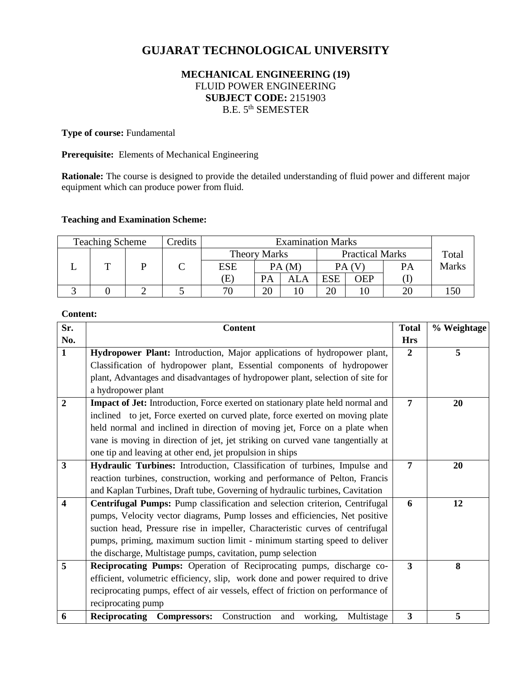# **GUJARAT TECHNOLOGICAL UNIVERSITY**

# **MECHANICAL ENGINEERING (19)** FLUID POWER ENGINEERING **SUBJECT CODE:** 2151903 B.E. 5th SEMESTER

## **Type of course: Fundamental**

**Prerequisite:** Elements of Mechanical Engineering

**Rationale:** The course is designed to provide the detailed understanding of fluid power and different major equipment which can produce power from fluid.

## **Teaching and Examination Scheme:**

| <b>Teaching Scheme</b> |  |  | Credits             | <b>Examination Marks</b> |                        |     |            |       |    |              |
|------------------------|--|--|---------------------|--------------------------|------------------------|-----|------------|-------|----|--------------|
|                        |  |  | <b>Theory Marks</b> |                          | <b>Practical Marks</b> |     |            | Total |    |              |
|                        |  |  |                     | <b>ESE</b>               | PA(M)                  |     | PA (V      |       | PА | <b>Marks</b> |
|                        |  |  |                     | Œ,                       | PА                     | ALA | <b>ESE</b> | OEP   |    |              |
|                        |  |  |                     | 70                       | 20                     |     | 20         |       | 20 |              |

#### **Content:**

| Sr.                     | <b>Content</b>                                                                   | <b>Total</b>            | % Weightage |
|-------------------------|----------------------------------------------------------------------------------|-------------------------|-------------|
| No.                     |                                                                                  | <b>Hrs</b>              |             |
| $\mathbf{1}$            | Hydropower Plant: Introduction, Major applications of hydropower plant,          | $\overline{2}$          | 5           |
|                         | Classification of hydropower plant, Essential components of hydropower           |                         |             |
|                         | plant, Advantages and disadvantages of hydropower plant, selection of site for   |                         |             |
|                         | a hydropower plant                                                               |                         |             |
| $\overline{2}$          | Impact of Jet: Introduction, Force exerted on stationary plate held normal and   | $\overline{7}$          | 20          |
|                         | inclined to jet, Force exerted on curved plate, force exerted on moving plate    |                         |             |
|                         | held normal and inclined in direction of moving jet, Force on a plate when       |                         |             |
|                         | vane is moving in direction of jet, jet striking on curved vane tangentially at  |                         |             |
|                         | one tip and leaving at other end, jet propulsion in ships                        |                         |             |
| $\overline{\mathbf{3}}$ | Hydraulic Turbines: Introduction, Classification of turbines, Impulse and        | $\overline{7}$          | 20          |
|                         | reaction turbines, construction, working and performance of Pelton, Francis      |                         |             |
|                         | and Kaplan Turbines, Draft tube, Governing of hydraulic turbines, Cavitation     |                         |             |
| 4                       | Centrifugal Pumps: Pump classification and selection criterion, Centrifugal      | 6                       | 12          |
|                         | pumps, Velocity vector diagrams, Pump losses and efficiencies, Net positive      |                         |             |
|                         | suction head, Pressure rise in impeller, Characteristic curves of centrifugal    |                         |             |
|                         | pumps, priming, maximum suction limit - minimum starting speed to deliver        |                         |             |
|                         | the discharge, Multistage pumps, cavitation, pump selection                      |                         |             |
| 5                       | Reciprocating Pumps: Operation of Reciprocating pumps, discharge co-             | 3                       | 8           |
|                         | efficient, volumetric efficiency, slip, work done and power required to drive    |                         |             |
|                         | reciprocating pumps, effect of air vessels, effect of friction on performance of |                         |             |
|                         | reciprocating pump                                                               |                         |             |
| 6                       | Reciprocating Compressors:<br>working,<br>Multistage<br>Construction<br>and      | $\overline{\mathbf{3}}$ | 5           |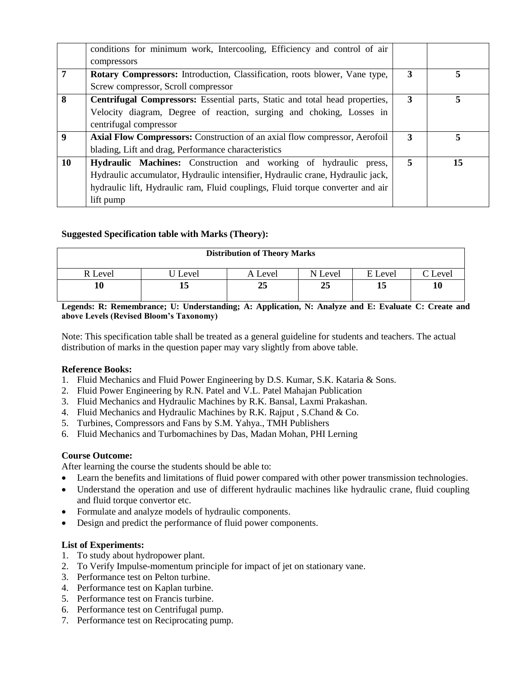|                  | conditions for minimum work, Intercooling, Efficiency and control of air          |   |    |
|------------------|-----------------------------------------------------------------------------------|---|----|
|                  | compressors                                                                       |   |    |
|                  | <b>Rotary Compressors:</b> Introduction, Classification, roots blower, Vane type, | 3 |    |
|                  | Screw compressor, Scroll compressor                                               |   |    |
| 8                | Centrifugal Compressors: Essential parts, Static and total head properties,       | 3 |    |
|                  | Velocity diagram, Degree of reaction, surging and choking, Losses in              |   |    |
|                  | centrifugal compressor                                                            |   |    |
| $\boldsymbol{9}$ | <b>Axial Flow Compressors:</b> Construction of an axial flow compressor, Aerofoil | 3 |    |
|                  | blading, Lift and drag, Performance characteristics                               |   |    |
| 10               | Hydraulic Machines: Construction and working of hydraulic press,                  | 5 | 15 |
|                  | Hydraulic accumulator, Hydraulic intensifier, Hydraulic crane, Hydraulic jack,    |   |    |
|                  | hydraulic lift, Hydraulic ram, Fluid couplings, Fluid torque converter and air    |   |    |
|                  | lift pump                                                                         |   |    |

## **Suggested Specification table with Marks (Theory):**

| <b>Distribution of Theory Marks</b> |       |         |         |         |        |  |  |  |
|-------------------------------------|-------|---------|---------|---------|--------|--|--|--|
| R Level                             | Level | A Level | N Level | E Level | 'Level |  |  |  |
|                                     |       | 25      | 25      | 15      | 10     |  |  |  |

**Legends: R: Remembrance; U: Understanding; A: Application, N: Analyze and E: Evaluate C: Create and above Levels (Revised Bloom's Taxonomy)**

Note: This specification table shall be treated as a general guideline for students and teachers. The actual distribution of marks in the question paper may vary slightly from above table.

#### **Reference Books:**

- 1. Fluid Mechanics and Fluid Power Engineering by D.S. Kumar, S.K. Kataria & Sons.
- 2. Fluid Power Engineering by R.N. Patel and V.L. Patel Mahajan Publication
- 3. Fluid Mechanics and Hydraulic Machines by R.K. Bansal, Laxmi Prakashan.
- 4. Fluid Mechanics and Hydraulic Machines by R.K. Rajput , S.Chand & Co.
- 5. Turbines, Compressors and Fans by S.M. Yahya., TMH Publishers
- 6. Fluid Mechanics and Turbomachines by Das, Madan Mohan, PHI Lerning

#### **Course Outcome:**

After learning the course the students should be able to:

- Learn the benefits and limitations of fluid power compared with other power transmission technologies.
- Understand the operation and use of different hydraulic machines like hydraulic crane, fluid coupling and fluid torque convertor etc.
- Formulate and analyze models of hydraulic components.
- Design and predict the performance of fluid power components.

#### **List of Experiments:**

- 1. To study about hydropower plant.
- 2. To Verify Impulse-momentum principle for impact of jet on stationary vane.
- 3. Performance test on Pelton turbine.
- 4. Performance test on Kaplan turbine.
- 5. Performance test on Francis turbine.
- 6. Performance test on Centrifugal pump.
- 7. Performance test on Reciprocating pump.